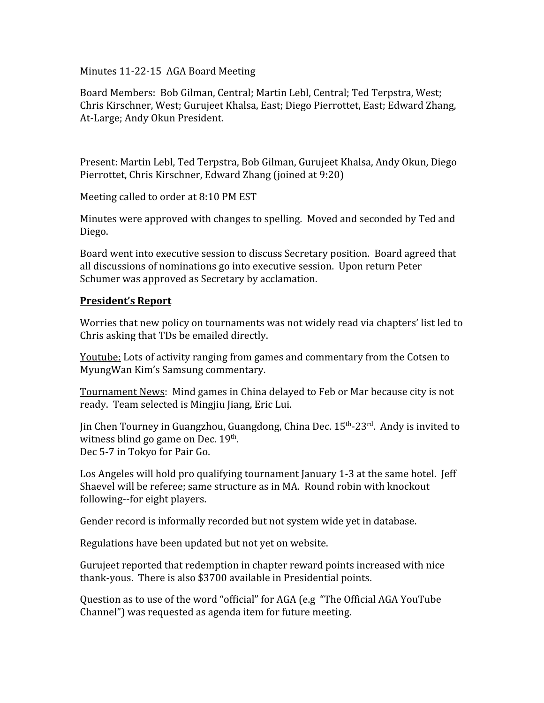Minutes 11‐22‐15 AGA Board Meeting

Board Members: Bob Gilman, Central; Martin Lebl, Central; Ted Terpstra, West; Chris Kirschner, West; Gurujeet Khalsa, East; Diego Pierrottet, East; Edward Zhang, At‐Large; Andy Okun President.

Present: Martin Lebl, Ted Terpstra, Bob Gilman, Gurujeet Khalsa, Andy Okun, Diego Pierrottet, Chris Kirschner, Edward Zhang (joined at 9:20)

Meeting called to order at 8:10 PM EST

Minutes were approved with changes to spelling. Moved and seconded by Ted and Diego.

Board went into executive session to discuss Secretary position. Board agreed that all discussions of nominations go into executive session. Upon return Peter Schumer was approved as Secretary by acclamation.

## **President's Report**

Worries that new policy on tournaments was not widely read via chapters' list led to Chris asking that TDs be emailed directly.

Youtube: Lots of activity ranging from games and commentary from the Cotsen to MyungWan Kim's Samsung commentary.

Tournament News: Mind games in China delayed to Feb or Mar because city is not ready. Team selected is Mingjiu Jiang, Eric Lui.

Jin Chen Tourney in Guangzhou, Guangdong, China Dec. 15<sup>th</sup>-23<sup>rd</sup>. Andy is invited to witness blind go game on Dec. 19<sup>th</sup>. Dec 5‐7 in Tokyo for Pair Go.

Los Angeles will hold pro qualifying tournament January 1-3 at the same hotel. Jeff Shaevel will be referee; same structure as in MA. Round robin with knockout following--for eight players.

Gender record is informally recorded but not system wide yet in database.

Regulations have been updated but not yet on website.

Gurujeet reported that redemption in chapter reward points increased with nice thank‐yous. There is also \$3700 available in Presidential points.

Question as to use of the word "official" for AGA (e.g "The Official AGA YouTube Channel") was requested as agenda item for future meeting.